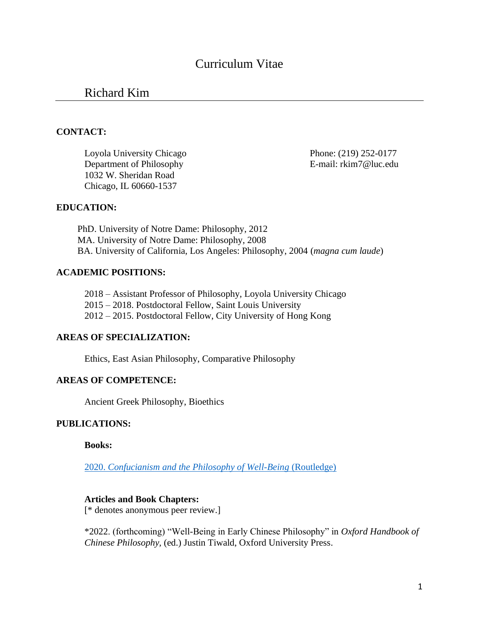# Curriculum Vitae

## Richard Kim

#### **CONTACT:**

Loyola University Chicago Phone: (219) 252-0177 Department of Philosophy E-mail: rkim7@luc.edu 1032 W. Sheridan Road Chicago, IL 60660-1537

#### **EDUCATION:**

PhD. University of Notre Dame: Philosophy, 2012 MA. University of Notre Dame: Philosophy, 2008 BA. University of California, Los Angeles: Philosophy, 2004 (*magna cum laude*)

#### **ACADEMIC POSITIONS:**

2018 – Assistant Professor of Philosophy, Loyola University Chicago 2015 – 2018. Postdoctoral Fellow, Saint Louis University 2012 – 2015. Postdoctoral Fellow, City University of Hong Kong

### **AREAS OF SPECIALIZATION:**

Ethics, East Asian Philosophy, Comparative Philosophy

### **AREAS OF COMPETENCE:**

Ancient Greek Philosophy, Bioethics

#### **PUBLICATIONS:**

**Books:** 

2020. *[Confucianism and the Philosophy of Well-Being](https://www.routledge.com/Confucianism-and-the-Philosophy-of-Well-Being/Kim/p/book/9781138037922)* (Routledge)

### **Articles and Book Chapters:**

[\* denotes anonymous peer review.]

\*2022. (forthcoming) "Well-Being in Early Chinese Philosophy" in *Oxford Handbook of Chinese Philosophy,* (ed.) Justin Tiwald, Oxford University Press.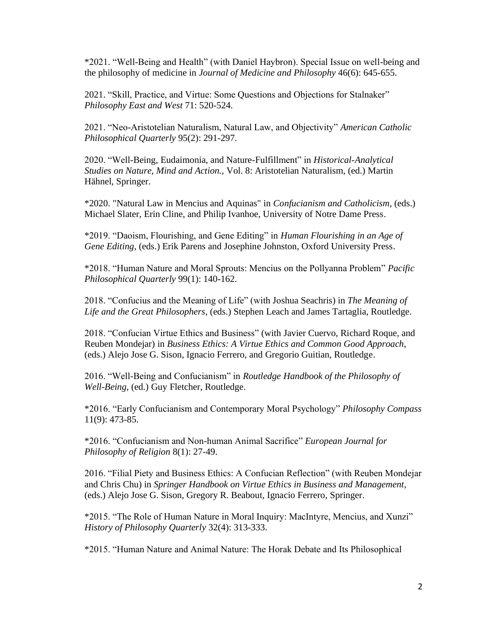\*2021. "Well-Being and Health" (with Daniel Haybron). Special Issue on well-being and the philosophy of medicine in *Journal of Medicine and Philosophy* 46(6): 645-655.

2021. "Skill, Practice, and Virtue: Some Questions and Objections for Stalnaker" *Philosophy East and West* 71: 520-524.

2021. "Neo-Aristotelian Naturalism, Natural Law, and Objectivity" *American Catholic Philosophical Quarterly* 95(2): 291-297.

2020. "Well-Being, Eudaimonia, and Nature-Fulfillment" in *Historical-Analytical Studies on Nature, Mind and Action.,* Vol. 8: Aristotelian Naturalism, (ed.) Martin Hähnel, Springer.

\*2020. "Natural Law in Mencius and Aquinas" in *Confucianism and Catholicism*, (eds.) Michael Slater, Erin Cline, and Philip Ivanhoe, University of Notre Dame Press.

\*2019. "Daoism, Flourishing, and Gene Editing" in *Human Flourishing in an Age of Gene Editing*, (eds.) Erik Parens and Josephine Johnston, Oxford University Press.

\*2018. "Human Nature and Moral Sprouts: Mencius on the Pollyanna Problem" *Pacific Philosophical Quarterly* 99(1): 140-162.

2018. "Confucius and the Meaning of Life" (with Joshua Seachris) in *The Meaning of Life and the Great Philosophers*, (eds.) Stephen Leach and James Tartaglia, Routledge.

2018. "Confucian Virtue Ethics and Business" (with Javier Cuervo, Richard Roque, and Reuben Mondejar) in *Business Ethics: A Virtue Ethics and Common Good Approach,*  (eds.) Alejo Jose G. Sison, Ignacio Ferrero, and Gregorio Guitian, Routledge.

2016. "Well-Being and Confucianism" in *Routledge Handbook of the Philosophy of Well-Being*, (ed.) Guy Fletcher, Routledge.

\*2016. "Early Confucianism and Contemporary Moral Psychology" *Philosophy Compass* 11(9): 473-85.

\*2016. "Confucianism and Non-human Animal Sacrifice" *European Journal for Philosophy of Religion* 8(1): 27-49.

2016. "Filial Piety and Business Ethics: A Confucian Reflection" (with Reuben Mondejar and Chris Chu) in *Springer Handbook on Virtue Ethics in Business and Management*, (eds.) Alejo Jose G. Sison, Gregory R. Beabout, Ignacio Ferrero, Springer.

\*2015. "The Role of Human Nature in Moral Inquiry: MacIntyre, Mencius, and Xunzi" *History of Philosophy Quarterly* 32(4): 313-333.

\*2015. "Human Nature and Animal Nature: The Horak Debate and Its Philosophical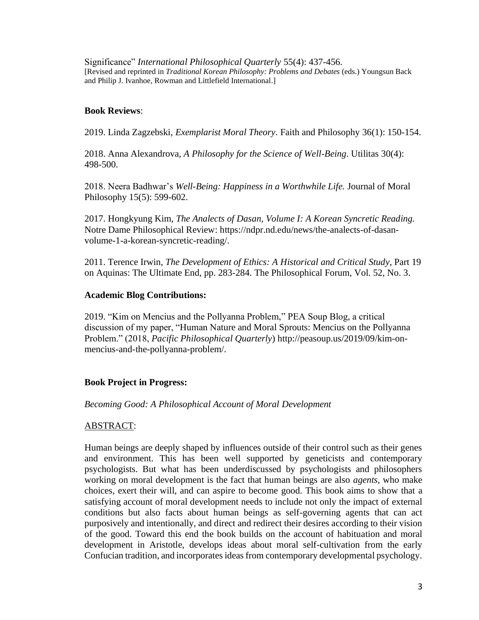Significance" *International Philosophical Quarterly* 55(4): 437-456. [Revised and reprinted in *Traditional Korean Philosophy: Problems and Debates* (eds.) Youngsun Back and Philip J. Ivanhoe, Rowman and Littlefield International.]

### **Book Reviews**:

2019. Linda Zagzebski, *Exemplarist Moral Theory*. Faith and Philosophy 36(1): 150-154.

2018. Anna Alexandrova, *A Philosophy for the Science of Well-Being*. Utilitas 30(4): 498-500.

2018. Neera Badhwar's *Well-Being: Happiness in a Worthwhile Life.* Journal of Moral Philosophy 15(5): 599-602.

2017. Hongkyung Kim, *The Analects of Dasan, Volume I: A Korean Syncretic Reading.*  Notre Dame Philosophical Review: https://ndpr.nd.edu/news/the-analects-of-dasanvolume-1-a-korean-syncretic-reading/.

2011. Terence Irwin, *The Development of Ethics: A Historical and Critical Study*, Part 19 on Aquinas: The Ultimate End, pp. 283-284. The Philosophical Forum, Vol. 52, No. 3.

### **Academic Blog Contributions:**

2019. "Kim on Mencius and the Pollyanna Problem," PEA Soup Blog, a critical discussion of my paper, "Human Nature and Moral Sprouts: Mencius on the Pollyanna Problem." (2018, *Pacific Philosophical Quarterly*) http://peasoup.us/2019/09/kim-onmencius-and-the-pollyanna-problem/.

### **Book Project in Progress:**

#### *Becoming Good: A Philosophical Account of Moral Development*

### ABSTRACT:

Human beings are deeply shaped by influences outside of their control such as their genes and environment. This has been well supported by geneticists and contemporary psychologists. But what has been underdiscussed by psychologists and philosophers working on moral development is the fact that human beings are also *agents*, who make choices, exert their will, and can aspire to become good. This book aims to show that a satisfying account of moral development needs to include not only the impact of external conditions but also facts about human beings as self-governing agents that can act purposively and intentionally, and direct and redirect their desires according to their vision of the good. Toward this end the book builds on the account of habituation and moral development in Aristotle, develops ideas about moral self-cultivation from the early Confucian tradition, and incorporates ideas from contemporary developmental psychology.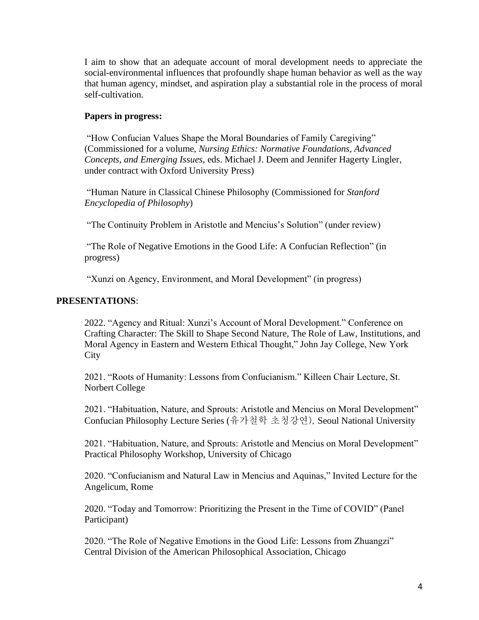I aim to show that an adequate account of moral development needs to appreciate the social-environmental influences that profoundly shape human behavior as well as the way that human agency, mindset, and aspiration play a substantial role in the process of moral self-cultivation.

### **Papers in progress:**

"How Confucian Values Shape the Moral Boundaries of Family Caregiving" (Commissioned for a volume, *Nursing Ethics: Normative Foundations, Advanced Concepts, and Emerging Issues,* eds. Michael J. Deem and Jennifer Hagerty Lingler, under contract with Oxford University Press)

"Human Nature in Classical Chinese Philosophy (Commissioned for *Stanford Encyclopedia of Philosophy*)

"The Continuity Problem in Aristotle and Mencius's Solution" (under review)

"The Role of Negative Emotions in the Good Life: A Confucian Reflection" (in progress)

"Xunzi on Agency, Environment, and Moral Development" (in progress)

### **PRESENTATIONS**:

2022. "Agency and Ritual: Xunzi's Account of Moral Development." Conference on Crafting Character: The Skill to Shape Second Nature, The Role of Law, Institutions, and Moral Agency in Eastern and Western Ethical Thought," John Jay College, New York **City** 

2021. "Roots of Humanity: Lessons from Confucianism." Killeen Chair Lecture, St. Norbert College

2021. "Habituation, Nature, and Sprouts: Aristotle and Mencius on Moral Development" Confucian Philosophy Lecture Series (유가철학 초청강연), Seoul National University

2021. "Habituation, Nature, and Sprouts: Aristotle and Mencius on Moral Development" Practical Philosophy Workshop, University of Chicago

2020. "Confucianism and Natural Law in Mencius and Aquinas," Invited Lecture for the Angelicum, Rome

2020. "Today and Tomorrow: Prioritizing the Present in the Time of COVID" (Panel Participant)

2020. "The Role of Negative Emotions in the Good Life: Lessons from Zhuangzi" Central Division of the American Philosophical Association, Chicago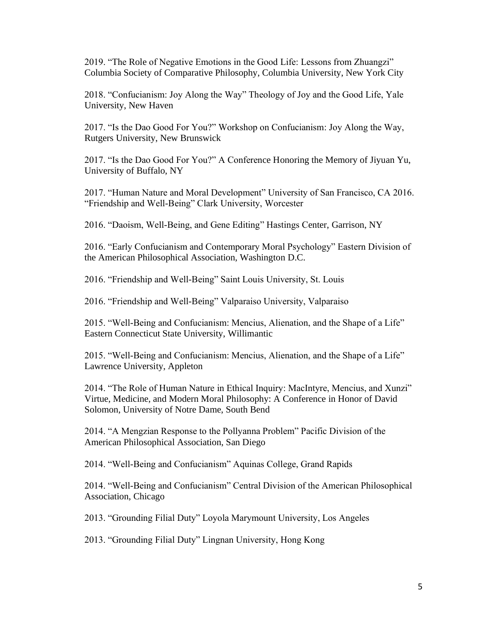2019. "The Role of Negative Emotions in the Good Life: Lessons from Zhuangzi" Columbia Society of Comparative Philosophy, Columbia University, New York City

2018. "Confucianism: Joy Along the Way" Theology of Joy and the Good Life, Yale University, New Haven

2017. "Is the Dao Good For You?" Workshop on Confucianism: Joy Along the Way, Rutgers University, New Brunswick

2017. "Is the Dao Good For You?" A Conference Honoring the Memory of Jiyuan Yu, University of Buffalo, NY

2017. "Human Nature and Moral Development" University of San Francisco, CA 2016. "Friendship and Well-Being" Clark University, Worcester

2016. "Daoism, Well-Being, and Gene Editing" Hastings Center, Garrison, NY

2016. "Early Confucianism and Contemporary Moral Psychology" Eastern Division of the American Philosophical Association, Washington D.C.

2016. "Friendship and Well-Being" Saint Louis University, St. Louis

2016. "Friendship and Well-Being" Valparaiso University, Valparaiso

2015. "Well-Being and Confucianism: Mencius, Alienation, and the Shape of a Life" Eastern Connecticut State University, Willimantic

2015. "Well-Being and Confucianism: Mencius, Alienation, and the Shape of a Life" Lawrence University, Appleton

2014. "The Role of Human Nature in Ethical Inquiry: MacIntyre, Mencius, and Xunzi" Virtue, Medicine, and Modern Moral Philosophy: A Conference in Honor of David Solomon, University of Notre Dame, South Bend

2014. "A Mengzian Response to the Pollyanna Problem" Pacific Division of the American Philosophical Association, San Diego

2014. "Well-Being and Confucianism" Aquinas College, Grand Rapids

2014. "Well-Being and Confucianism" Central Division of the American Philosophical Association, Chicago

2013. "Grounding Filial Duty" Loyola Marymount University, Los Angeles

2013. "Grounding Filial Duty" Lingnan University, Hong Kong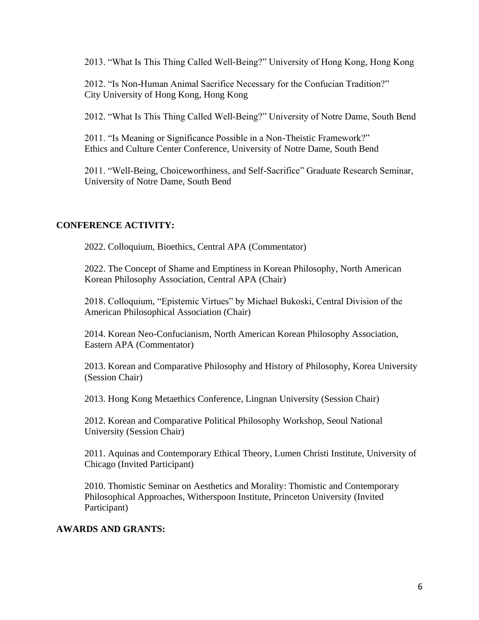2013. "What Is This Thing Called Well-Being?" University of Hong Kong, Hong Kong

2012. "Is Non-Human Animal Sacrifice Necessary for the Confucian Tradition?" City University of Hong Kong, Hong Kong

2012. "What Is This Thing Called Well-Being?" University of Notre Dame, South Bend

2011. "Is Meaning or Significance Possible in a Non-Theistic Framework?" Ethics and Culture Center Conference, University of Notre Dame, South Bend

2011. "Well-Being, Choiceworthiness, and Self-Sacrifice" Graduate Research Seminar, University of Notre Dame, South Bend

#### **CONFERENCE ACTIVITY:**

2022. Colloquium, Bioethics, Central APA (Commentator)

2022. The Concept of Shame and Emptiness in Korean Philosophy, North American Korean Philosophy Association, Central APA (Chair)

2018. Colloquium, "Epistemic Virtues" by Michael Bukoski, Central Division of the American Philosophical Association (Chair)

2014. Korean Neo-Confucianism, North American Korean Philosophy Association, Eastern APA (Commentator)

2013. Korean and Comparative Philosophy and History of Philosophy, Korea University (Session Chair)

2013. Hong Kong Metaethics Conference, Lingnan University (Session Chair)

2012. Korean and Comparative Political Philosophy Workshop, Seoul National University (Session Chair)

2011. Aquinas and Contemporary Ethical Theory, Lumen Christi Institute, University of Chicago (Invited Participant)

2010. Thomistic Seminar on Aesthetics and Morality: Thomistic and Contemporary Philosophical Approaches, Witherspoon Institute, Princeton University (Invited Participant)

#### **AWARDS AND GRANTS:**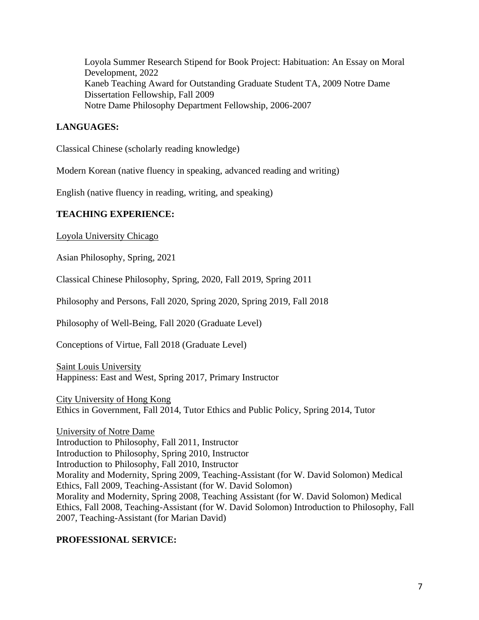Loyola Summer Research Stipend for Book Project: Habituation: An Essay on Moral Development, 2022 Kaneb Teaching Award for Outstanding Graduate Student TA, 2009 Notre Dame Dissertation Fellowship, Fall 2009 Notre Dame Philosophy Department Fellowship, 2006-2007

### **LANGUAGES:**

Classical Chinese (scholarly reading knowledge)

Modern Korean (native fluency in speaking, advanced reading and writing)

English (native fluency in reading, writing, and speaking)

### **TEACHING EXPERIENCE:**

Loyola University Chicago

Asian Philosophy, Spring, 2021

Classical Chinese Philosophy, Spring, 2020, Fall 2019, Spring 2011

Philosophy and Persons, Fall 2020, Spring 2020, Spring 2019, Fall 2018

Philosophy of Well-Being, Fall 2020 (Graduate Level)

Conceptions of Virtue, Fall 2018 (Graduate Level)

Saint Louis University Happiness: East and West, Spring 2017, Primary Instructor

City University of Hong Kong Ethics in Government, Fall 2014, Tutor Ethics and Public Policy, Spring 2014, Tutor

University of Notre Dame Introduction to Philosophy, Fall 2011, Instructor Introduction to Philosophy, Spring 2010, Instructor Introduction to Philosophy, Fall 2010, Instructor Morality and Modernity, Spring 2009, Teaching-Assistant (for W. David Solomon) Medical Ethics, Fall 2009, Teaching-Assistant (for W. David Solomon) Morality and Modernity, Spring 2008, Teaching Assistant (for W. David Solomon) Medical Ethics, Fall 2008, Teaching-Assistant (for W. David Solomon) Introduction to Philosophy, Fall 2007, Teaching-Assistant (for Marian David)

### **PROFESSIONAL SERVICE:**